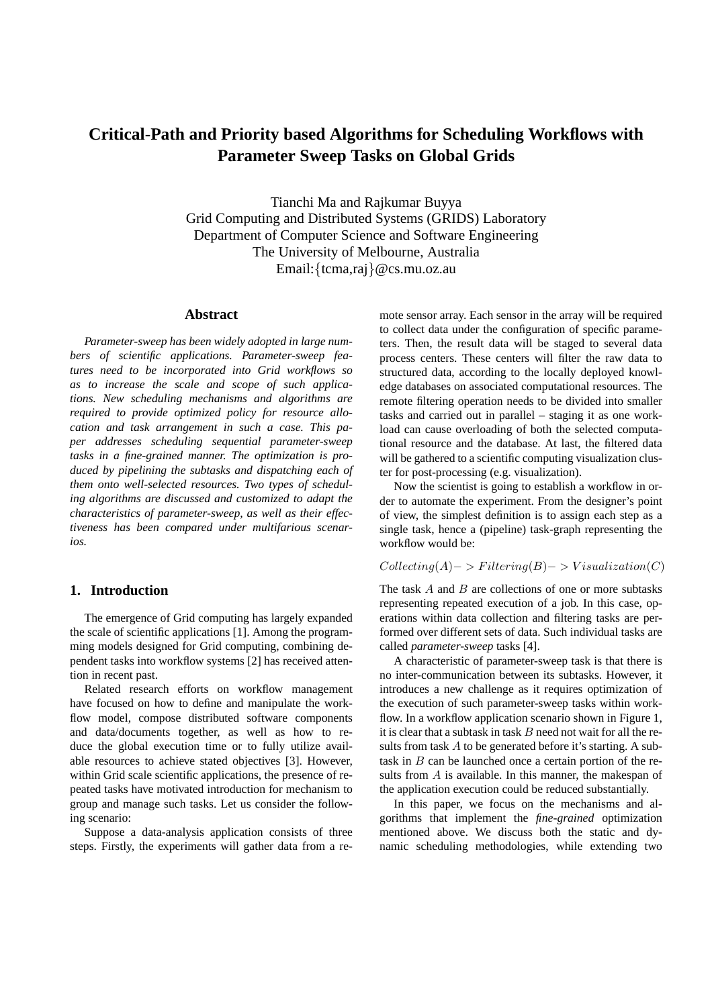# **Critical-Path and Priority based Algorithms for Scheduling Workflows with Parameter Sweep Tasks on Global Grids**

Tianchi Ma and Rajkumar Buyya Grid Computing and Distributed Systems (GRIDS) Laboratory Department of Computer Science and Software Engineering The University of Melbourne, Australia Email:{tcma,raj}@cs.mu.oz.au

#### **Abstract**

*Parameter-sweep has been widely adopted in large numbers of scientific applications. Parameter-sweep features need to be incorporated into Grid workflows so as to increase the scale and scope of such applications. New scheduling mechanisms and algorithms are required to provide optimized policy for resource allocation and task arrangement in such a case. This paper addresses scheduling sequential parameter-sweep tasks in a fine-grained manner. The optimization is produced by pipelining the subtasks and dispatching each of them onto well-selected resources. Two types of scheduling algorithms are discussed and customized to adapt the characteristics of parameter-sweep, as well as their effectiveness has been compared under multifarious scenarios.*

# **1. Introduction**

The emergence of Grid computing has largely expanded the scale of scientific applications [1]. Among the programming models designed for Grid computing, combining dependent tasks into workflow systems [2] has received attention in recent past.

Related research efforts on workflow management have focused on how to define and manipulate the workflow model, compose distributed software components and data/documents together, as well as how to reduce the global execution time or to fully utilize available resources to achieve stated objectives [3]. However, within Grid scale scientific applications, the presence of repeated tasks have motivated introduction for mechanism to group and manage such tasks. Let us consider the following scenario:

Suppose a data-analysis application consists of three steps. Firstly, the experiments will gather data from a remote sensor array. Each sensor in the array will be required to collect data under the configuration of specific parameters. Then, the result data will be staged to several data process centers. These centers will filter the raw data to structured data, according to the locally deployed knowledge databases on associated computational resources. The remote filtering operation needs to be divided into smaller tasks and carried out in parallel – staging it as one workload can cause overloading of both the selected computational resource and the database. At last, the filtered data will be gathered to a scientific computing visualization cluster for post-processing (e.g. visualization).

Now the scientist is going to establish a workflow in order to automate the experiment. From the designer's point of view, the simplest definition is to assign each step as a single task, hence a (pipeline) task-graph representing the workflow would be:

# $Collecting(A) -> Filtering(B) -> Visualization(C)$

The task  $A$  and  $B$  are collections of one or more subtasks representing repeated execution of a job. In this case, operations within data collection and filtering tasks are performed over different sets of data. Such individual tasks are called *parameter-sweep* tasks [4].

A characteristic of parameter-sweep task is that there is no inter-communication between its subtasks. However, it introduces a new challenge as it requires optimization of the execution of such parameter-sweep tasks within workflow. In a workflow application scenario shown in Figure 1, it is clear that a subtask in task  $B$  need not wait for all the results from task  $A$  to be generated before it's starting. A subtask in  $B$  can be launched once a certain portion of the results from A is available. In this manner, the makespan of the application execution could be reduced substantially.

In this paper, we focus on the mechanisms and algorithms that implement the *fine-grained* optimization mentioned above. We discuss both the static and dynamic scheduling methodologies, while extending two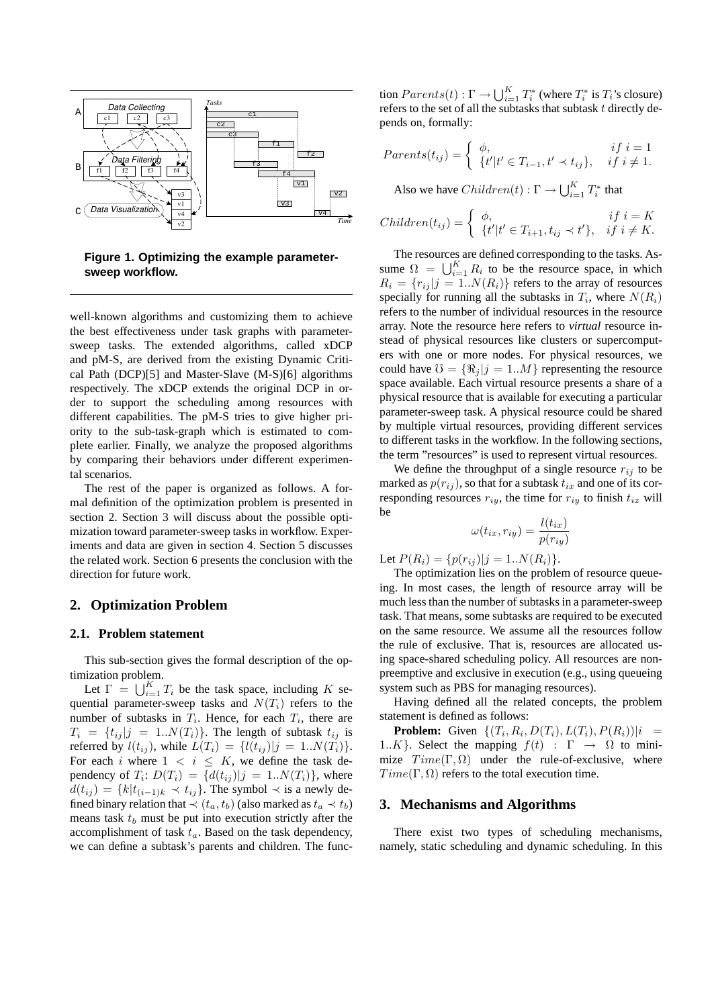

**Figure 1. Optimizing the example parametersweep workflow.**

well-known algorithms and customizing them to achieve the best effectiveness under task graphs with parametersweep tasks. The extended algorithms, called xDCP and pM-S, are derived from the existing Dynamic Critical Path (DCP)[5] and Master-Slave (M-S)[6] algorithms respectively. The xDCP extends the original DCP in order to support the scheduling among resources with different capabilities. The pM-S tries to give higher priority to the sub-task-graph which is estimated to complete earlier. Finally, we analyze the proposed algorithms by comparing their behaviors under different experimental scenarios.

The rest of the paper is organized as follows. A formal definition of the optimization problem is presented in section 2. Section 3 will discuss about the possible optimization toward parameter-sweep tasks in workflow. Experiments and data are given in section 4. Section 5 discusses the related work. Section 6 presents the conclusion with the direction for future work.

#### **2. Optimization Problem**

#### **2.1. Problem statement**

This sub-section gives the formal description of the optimization problem.

Let  $\Gamma = \bigcup_{i=1}^{K} T_i$  be the task space, including K sequential parameter-sweep tasks and  $N(T_i)$  refers to the number of subtasks in  $T_i$ . Hence, for each  $T_i$ , there are  $T_i = \{t_{ij} | j = 1..N(T_i)\}\.$  The length of subtask  $t_{ij}$  is referred by  $l(t_{ij})$ , while  $L(T_i) = \{l(t_{ij})|j = 1..N(T_i)\}.$ For each i where  $1 \lt i \leq K$ , we define the task dependency of  $T_i: D(T_i) = \{d(t_{ij})|j = 1..N(T_i)\}\$ , where  $d(t_{ij}) = \{k|t_{(i-1)k} \prec t_{ij}\}.$  The symbol  $\prec$  is a newly defined binary relation that  $\prec$   $(t_a, t_b)$  (also marked as  $t_a \prec t_b$ ) means task  $t_b$  must be put into execution strictly after the accomplishment of task  $t_a$ . Based on the task dependency, we can define a subtask's parents and children. The func-

tion  $Parents(t): \Gamma \rightarrow \bigcup_{i=1}^{K} T_i^*$  (where  $T_i^*$  is  $T_i$ 's closure) refers to the set of all the subtasks that subtask t directly depends on, formally:

$$
Parents(t_{ij}) = \begin{cases} \phi, & if \ i = 1 \\ \{t'|t' \in T_{i-1}, t' \prec t_{ij}\}, & if \ i \neq 1. \end{cases}
$$

Also we have  $Children(t) : \Gamma \to \bigcup_{i=1}^{K} T_i^*$  that

$$
Children(t_{ij}) = \begin{cases} \phi, & if \ i = K \\ \{t'|t' \in T_{i+1}, t_{ij} \prec t'\}, & if \ i \neq K. \end{cases}
$$

The resources are defined corresponding to the tasks. As-The resources are defined corresponding to the tasks. Assume  $\Omega = \bigcup_{i=1}^{K} R_i$  to be the resource space, in which  $R_i = \{r_{ij} | j = 1..N(R_i)\}\$ refers to the array of resources specially for running all the subtasks in  $T_i$ , where  $N(R_i)$ refers to the number of individual resources in the resource array. Note the resource here refers to *virtual* resource instead of physical resources like clusters or supercomputers with one or more nodes. For physical resources, we could have  $\mathcal{O} = {\Re_i | j = 1..M}$  representing the resource space available. Each virtual resource presents a share of a physical resource that is available for executing a particular parameter-sweep task. A physical resource could be shared by multiple virtual resources, providing different services to different tasks in the workflow. In the following sections, the term "resources" is used to represent virtual resources.

We define the throughput of a single resource  $r_{ij}$  to be marked as  $p(r_{ij})$ , so that for a subtask  $t_{ix}$  and one of its corresponding resources  $r_{iv}$ , the time for  $r_{iv}$  to finish  $t_{ix}$  will be

$$
\omega(t_{ix}, r_{iy}) = \frac{l(t_{ix})}{p(r_{iy})}
$$

Let  $P(R_i) = \{p(r_{ii}) | j = 1..N(R_i)\}.$ 

The optimization lies on the problem of resource queueing. In most cases, the length of resource array will be much less than the number of subtasks in a parameter-sweep task. That means, some subtasks are required to be executed on the same resource. We assume all the resources follow the rule of exclusive. That is, resources are allocated using space-shared scheduling policy. All resources are nonpreemptive and exclusive in execution (e.g., using queueing system such as PBS for managing resources).

Having defined all the related concepts, the problem statement is defined as follows:

**Problem:** Given  $\{(T_i, R_i, D(T_i), L(T_i), P(R_i))|i =$ 1..K }. Select the mapping  $f(t)$  :  $\Gamma \rightarrow \Omega$  to minimize  $Time(\Gamma, \Omega)$  under the rule-of-exclusive, where  $Time(\Gamma, \Omega)$  refers to the total execution time.

#### **3. Mechanisms and Algorithms**

There exist two types of scheduling mechanisms, namely, static scheduling and dynamic scheduling. In this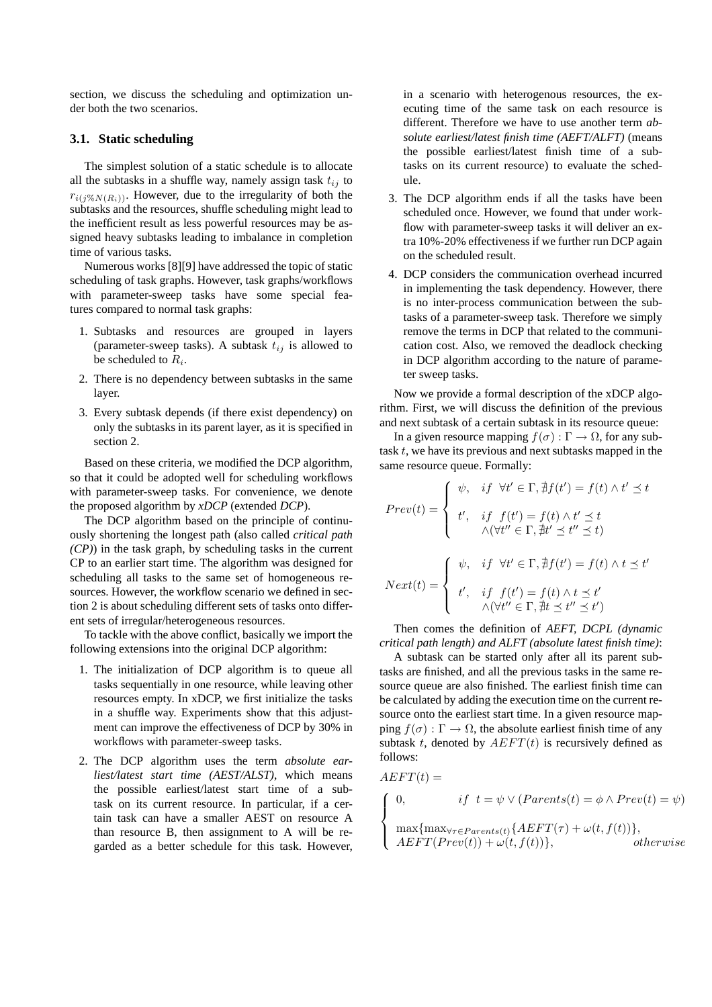section, we discuss the scheduling and optimization under both the two scenarios.

#### **3.1. Static scheduling**

The simplest solution of a static schedule is to allocate all the subtasks in a shuffle way, namely assign task  $t_{ij}$  to  $r_{i(j\%N(R_i))}$ . However, due to the irregularity of both the subtasks and the resources, shuffle scheduling might lead to the inefficient result as less powerful resources may be assigned heavy subtasks leading to imbalance in completion time of various tasks.

Numerous works [8][9] have addressed the topic of static scheduling of task graphs. However, task graphs/workflows with parameter-sweep tasks have some special features compared to normal task graphs:

- 1. Subtasks and resources are grouped in layers (parameter-sweep tasks). A subtask  $t_{ij}$  is allowed to be scheduled to  $R_i$ .
- 2. There is no dependency between subtasks in the same layer.
- 3. Every subtask depends (if there exist dependency) on only the subtasks in its parent layer, as it is specified in section 2.

Based on these criteria, we modified the DCP algorithm, so that it could be adopted well for scheduling workflows with parameter-sweep tasks. For convenience, we denote the proposed algorithm by *xDCP* (e*x*tended *DCP*).

The DCP algorithm based on the principle of continuously shortening the longest path (also called *critical path (CP)*) in the task graph, by scheduling tasks in the current CP to an earlier start time. The algorithm was designed for scheduling all tasks to the same set of homogeneous resources. However, the workflow scenario we defined in section 2 is about scheduling different sets of tasks onto different sets of irregular/heterogeneous resources.

To tackle with the above conflict, basically we import the following extensions into the original DCP algorithm:

- 1. The initialization of DCP algorithm is to queue all tasks sequentially in one resource, while leaving other resources empty. In xDCP, we first initialize the tasks in a shuffle way. Experiments show that this adjustment can improve the effectiveness of DCP by 30% in workflows with parameter-sweep tasks.
- 2. The DCP algorithm uses the term *absolute earliest/latest start time (AEST/ALST)*, which means the possible earliest/latest start time of a subtask on its current resource. In particular, if a certain task can have a smaller AEST on resource A than resource B, then assignment to A will be regarded as a better schedule for this task. However,

in a scenario with heterogenous resources, the executing time of the same task on each resource is different. Therefore we have to use another term *absolute earliest/latest finish time (AEFT/ALFT)* (means the possible earliest/latest finish time of a subtasks on its current resource) to evaluate the schedule.

- 3. The DCP algorithm ends if all the tasks have been scheduled once. However, we found that under workflow with parameter-sweep tasks it will deliver an extra 10%-20% effectiveness if we further run DCP again on the scheduled result.
- 4. DCP considers the communication overhead incurred in implementing the task dependency. However, there is no inter-process communication between the subtasks of a parameter-sweep task. Therefore we simply remove the terms in DCP that related to the communication cost. Also, we removed the deadlock checking in DCP algorithm according to the nature of parameter sweep tasks.

Now we provide a formal description of the xDCP algorithm. First, we will discuss the definition of the previous and next subtask of a certain subtask in its resource queue:

In a given resource mapping  $f(\sigma) : \Gamma \to \Omega$ , for any subtask  $t$ , we have its previous and next subtasks mapped in the same resource queue. Formally:

$$
Prev(t) = \begin{cases} \psi, & if \forall t' \in \Gamma, \nexists f(t') = f(t) \land t' \leq t \\ \nt', & if \nf(t') = f(t) \land t' \leq t \\ \land (\forall t'' \in \Gamma, \nexists t' \leq t'' \leq t) \end{cases}
$$

$$
Next(t) = \begin{cases} \psi, & if \forall t' \in \Gamma, \nexists f(t') = f(t) \land t \leq t' \\ \nt', & if \nf(t') = f(t) \land t \leq t' \\ \land (\forall t'' \in \Gamma, \nexists t \leq t'' \leq t') \end{cases}
$$

Then comes the definition of *AEFT, DCPL (dynamic critical path length) and ALFT (absolute latest finish time)*:

A subtask can be started only after all its parent subtasks are finished, and all the previous tasks in the same resource queue are also finished. The earliest finish time can be calculated by adding the execution time on the current resource onto the earliest start time. In a given resource mapping  $f(\sigma) : \Gamma \to \Omega$ , the absolute earliest finish time of any subtask t, denoted by  $AEFT(t)$  is recursively defined as follows:

 $A EFT(t) =$ 

$$
\begin{cases}\n0, & if \ t = \psi \vee (Parents(t) = \phi \wedge Prev(t) = \psi) \\
\max\{\max_{\forall \tau \in Parents(t)} \{AEFT(\tau) + \omega(t, f(t))\}, \\
AEFT(Prev(t)) + \omega(t, f(t))\}, & otherwise\n\end{cases}
$$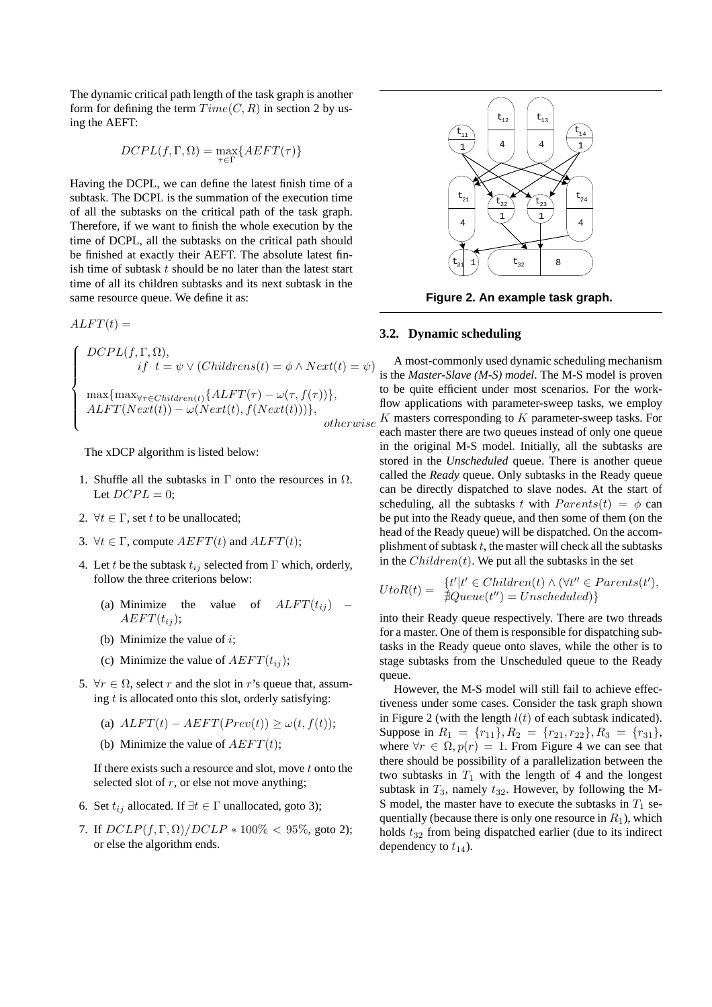The dynamic critical path length of the task graph is another form for defining the term  $Time(C, R)$  in section 2 by using the AEFT:

$$
DCPL(f, \Gamma, \Omega) = \max_{\tau \in \Gamma} \{ AEFT(\tau) \}
$$

Having the DCPL, we can define the latest finish time of a subtask. The DCPL is the summation of the execution time of all the subtasks on the critical path of the task graph. Therefore, if we want to finish the whole execution by the time of DCPL, all the subtasks on the critical path should be finished at exactly their AEFT. The absolute latest finish time of subtask  $t$  should be no later than the latest start time of all its children subtasks and its next subtask in the same resource queue. We define it as:

 $ALFT(t) =$ 

$$
\begin{cases}\nDCPL(f, \Gamma, \Omega), \\
\quad if \quad t = \psi \lor (Childrens(t) = \phi \land Next(t) = \psi) \\
\max\{\max_{\forall \tau \in Children(t)} \{ALFT(\tau) - \omega(\tau, f(\tau))\}, \\
ALFT(Next(t)) - \omega(Next(t), f(Next(t)))\}, \\
otherwise\n\end{cases}
$$

The xDCP algorithm is listed below:

- 1. Shuffle all the subtasks in  $\Gamma$  onto the resources in  $\Omega$ . Let  $DCPL = 0$ ;
- 2.  $\forall t \in \Gamma$ , set t to be unallocated;
- 3.  $\forall t \in \Gamma$ , compute  $AEFT(t)$  and  $ALFT(t)$ ;
- 4. Let t be the subtask  $t_{ij}$  selected from  $\Gamma$  which, orderly, follow the three criterions below:
	- (a) Minimize the value of  $ALFT(t_{ij})$   $AEFT(t_{ii});$
	- (b) Minimize the value of  $i$ ;
	- (c) Minimize the value of  $AEFT(t_{ii})$ ;
- 5.  $\forall r \in \Omega$ , select r and the slot in r's queue that, assuming  $t$  is allocated onto this slot, orderly satisfying:
	- (a)  $ALFT(t) AEFT(Prev(t)) \geq \omega(t, f(t));$
	- (b) Minimize the value of  $AEFT(t)$ ;

If there exists such a resource and slot, move  $t$  onto the selected slot of  $r$ , or else not move anything;

- 6. Set  $t_{ij}$  allocated. If  $\exists t \in \Gamma$  unallocated, goto 3);
- 7. If  $DCLP(f, \Gamma, \Omega) / DCLP * 100\% < 95\%$ , goto 2); or else the algorithm ends.



**Figure 2. An example task graph.**

#### **3.2. Dynamic scheduling**

A most-commonly used dynamic scheduling mechanism is the *Master-Slave (M-S) model*. The M-S model is proven to be quite efficient under most scenarios. For the workflow applications with parameter-sweep tasks, we employ  $K$  masters corresponding to  $K$  parameter-sweep tasks. For each master there are two queues instead of only one queue in the original M-S model. Initially, all the subtasks are stored in the *Unscheduled* queue. There is another queue called the *Ready* queue. Only subtasks in the Ready queue can be directly dispatched to slave nodes. At the start of scheduling, all the subtasks t with  $Parents(t) = \phi$  can be put into the Ready queue, and then some of them (on the head of the Ready queue) will be dispatched. On the accomplishment of subtask  $t$ , the master will check all the subtasks in the  $Children(t)$ . We put all the subtasks in the set

$$
UtoR(t) = \begin{cases} t'|t' \in Children(t) \land (\forall t'' \in Parents(t'),\\ \n\exists Queue(t'') = Unscheduled) \end{cases}
$$

into their Ready queue respectively. There are two threads for a master. One of them is responsible for dispatching subtasks in the Ready queue onto slaves, while the other is to stage subtasks from the Unscheduled queue to the Ready queue.

However, the M-S model will still fail to achieve effectiveness under some cases. Consider the task graph shown in Figure 2 (with the length  $l(t)$  of each subtask indicated). Suppose in  $R_1 = \{r_{11}\}, R_2 = \{r_{21}, r_{22}\}, R_3 = \{r_{31}\},$ where  $\forall r \in \Omega$ ,  $p(r) = 1$ . From Figure 4 we can see that there should be possibility of a parallelization between the two subtasks in  $T_1$  with the length of 4 and the longest subtask in  $T_3$ , namely  $t_{32}$ . However, by following the M-S model, the master have to execute the subtasks in  $T_1$  sequentially (because there is only one resource in  $R_1$ ), which holds  $t_{32}$  from being dispatched earlier (due to its indirect dependency to  $t_{14}$ ).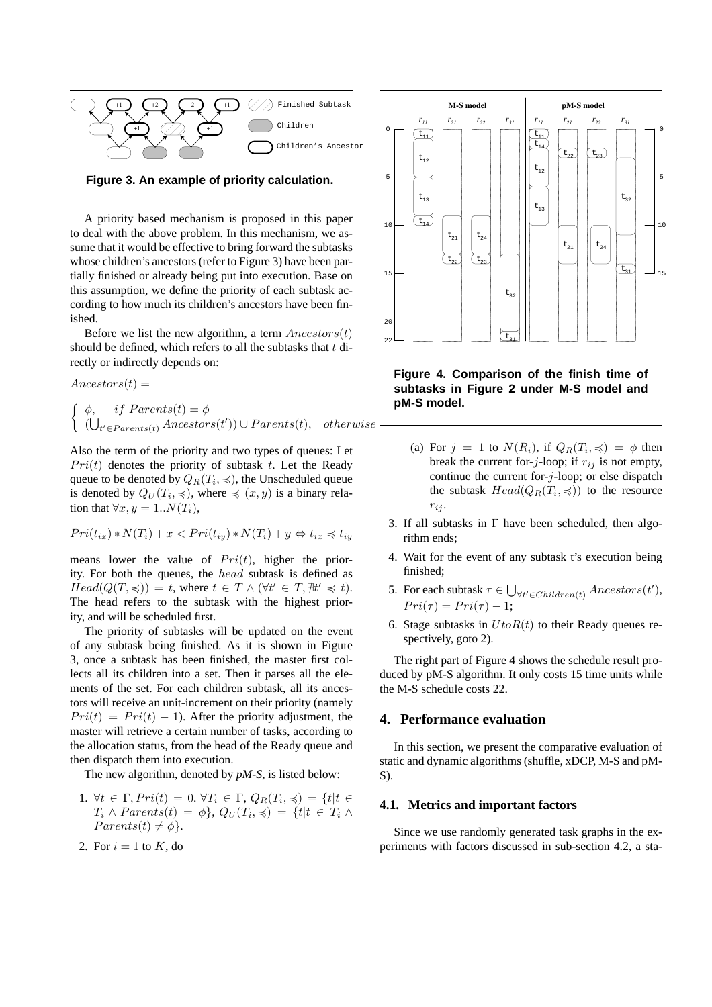

**Figure 3. An example of priority calculation.**

A priority based mechanism is proposed in this paper to deal with the above problem. In this mechanism, we assume that it would be effective to bring forward the subtasks whose children's ancestors (refer to Figure 3) have been partially finished or already being put into execution. Base on this assumption, we define the priority of each subtask according to how much its children's ancestors have been finished.

Before we list the new algorithm, a term  $Ancestors(t)$ should be defined, which refers to all the subtasks that  $t$  directly or indirectly depends on:

$$
Ancestors(t) =
$$
\n
$$
\begin{cases}\n\phi, & if \, Parents(t) = \phi \\
(\bigcup_{t' \in Parents(t)} Ancestors(t')) \cup Parents(t), & otherwise\n\end{cases}
$$

Also the term of the priority and two types of queues: Let  $Pri(t)$  denotes the priority of subtask t. Let the Ready queue to be denoted by  $Q_R(T_i,\preccurlyeq)$ , the Unscheduled queue is denoted by  $Q_U(T_i, \preccurlyeq)$ , where  $\preccurlyeq (x, y)$  is a binary relation that  $\forall x, y = 1..N(T_i),$ 

$$
Pri(t_{ix}) * N(T_i) + x < Pri(t_{iy}) * N(T_i) + y \Leftrightarrow t_{ix} \preccurlyeq t_{iy}
$$

means lower the value of  $Pri(t)$ , higher the priority. For both the queues, the head subtask is defined as  $Head(Q(T, \preccurlyeq)) = t$ , where  $t \in T \wedge (\forall t' \in T, \nexists t' \preccurlyeq t)$ . The head refers to the subtask with the highest priority, and will be scheduled first.

The priority of subtasks will be updated on the event of any subtask being finished. As it is shown in Figure 3, once a subtask has been finished, the master first collects all its children into a set. Then it parses all the elements of the set. For each children subtask, all its ancestors will receive an unit-increment on their priority (namely  $Pri(t) = Pri(t) - 1$ . After the priority adjustment, the master will retrieve a certain number of tasks, according to the allocation status, from the head of the Ready queue and then dispatch them into execution.

The new algorithm, denoted by *pM-S*, is listed below:

- 1.  $\forall t \in \Gamma, Pri(t) = 0, \forall T_i \in \Gamma, Q_R(T_i, \preccurlyeq) = \{t | t \in$  $T_i \wedge Parents(t) = \phi\}, Q_U(T_i, \preccurlyeq) = \{t | t \in T_i \wedge$  $Parents(t) \neq \phi$ .
- 2. For  $i = 1$  to K, do



**Figure 4. Comparison of the finish time of subtasks in Figure 2 under M-S model and pM-S model.**

- (a) For  $j = 1$  to  $N(R_i)$ , if  $Q_R(T_i, \preccurlyeq) = \phi$  then break the current for-j-loop; if  $r_{ij}$  is not empty, continue the current for- $j$ -loop; or else dispatch the subtask  $Head(Q_R(T_i, \preccurlyeq))$  to the resource  $r_{ij}$ .
- 3. If all subtasks in  $\Gamma$  have been scheduled, then algorithm ends;
- 4. Wait for the event of any subtask t's execution being finished;
- 5. For each subtask  $\tau \in \bigcup$  $\forall t' \in Children(t)} \, An vectors(t'),$  $Pri(\tau) = Pri(\tau) - 1;$
- 6. Stage subtasks in  $UtoR(t)$  to their Ready queues respectively, goto 2).

The right part of Figure 4 shows the schedule result produced by pM-S algorithm. It only costs 15 time units while the M-S schedule costs 22.

#### **4. Performance evaluation**

In this section, we present the comparative evaluation of static and dynamic algorithms (shuffle, xDCP, M-S and pM-S).

#### **4.1. Metrics and important factors**

Since we use randomly generated task graphs in the experiments with factors discussed in sub-section 4.2, a sta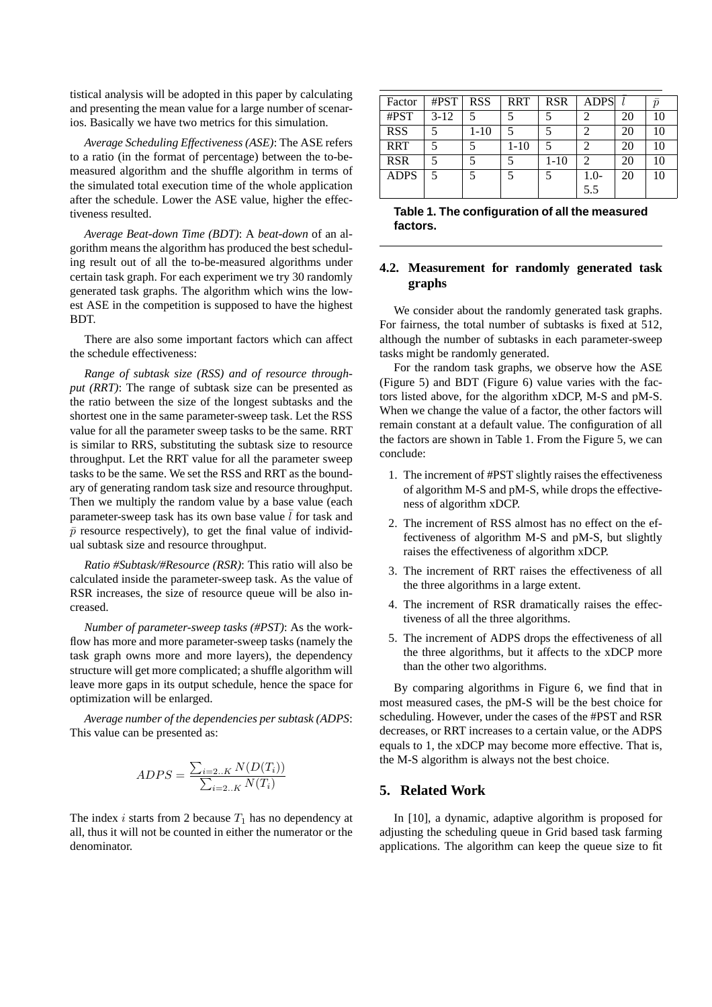tistical analysis will be adopted in this paper by calculating and presenting the mean value for a large number of scenarios. Basically we have two metrics for this simulation.

*Average Scheduling Effectiveness (ASE)*: The ASE refers to a ratio (in the format of percentage) between the to-bemeasured algorithm and the shuffle algorithm in terms of the simulated total execution time of the whole application after the schedule. Lower the ASE value, higher the effectiveness resulted.

*Average Beat-down Time (BDT)*: A *beat-down* of an algorithm means the algorithm has produced the best scheduling result out of all the to-be-measured algorithms under certain task graph. For each experiment we try 30 randomly generated task graphs. The algorithm which wins the lowest ASE in the competition is supposed to have the highest BDT.

There are also some important factors which can affect the schedule effectiveness:

*Range of subtask size (RSS) and of resource throughput (RRT)*: The range of subtask size can be presented as the ratio between the size of the longest subtasks and the shortest one in the same parameter-sweep task. Let the RSS value for all the parameter sweep tasks to be the same. RRT is similar to RRS, substituting the subtask size to resource throughput. Let the RRT value for all the parameter sweep tasks to be the same. We set the RSS and RRT as the boundary of generating random task size and resource throughput. Then we multiply the random value by a base value (each parameter-sweep task has its own base value  $\bar{l}$  for task and  $\bar{p}$  resource respectively), to get the final value of individual subtask size and resource throughput.

*Ratio #Subtask/#Resource (RSR)*: This ratio will also be calculated inside the parameter-sweep task. As the value of RSR increases, the size of resource queue will be also increased.

*Number of parameter-sweep tasks (#PST)*: As the workflow has more and more parameter-sweep tasks (namely the task graph owns more and more layers), the dependency structure will get more complicated; a shuffle algorithm will leave more gaps in its output schedule, hence the space for optimization will be enlarged.

*Average number of the dependencies per subtask (ADPS*: This value can be presented as:

$$
ADPS = \frac{\sum_{i=2..K} N(D(T_i))}{\sum_{i=2..K} N(T_i)}
$$

The index i starts from 2 because  $T_1$  has no dependency at all, thus it will not be counted in either the numerator or the denominator.

| Factor      | # $PST$  | <b>RSS</b> | <b>RRT</b> | <b>RSR</b> | <b>ADPS</b>   |    | $\overline{p}$ |
|-------------|----------|------------|------------|------------|---------------|----|----------------|
| #PST        | $3 - 12$ | 5          |            |            |               | 20 | 10             |
| <b>RSS</b>  |          | $1 - 10$   |            |            | 2             | 20 | 10             |
| <b>RRT</b>  |          |            | $1 - 10$   |            | っ             | 20 | 10             |
| <b>RSR</b>  | 5        |            |            | $1 - 10$   | $\mathcal{D}$ | 20 | 10             |
| <b>ADPS</b> | 5        |            |            |            | $1.0-$        | 20 | 10             |
|             |          |            |            |            | 5.5           |    |                |

**Table 1. The configuration of all the measured factors.**

# **4.2. Measurement for randomly generated task graphs**

We consider about the randomly generated task graphs. For fairness, the total number of subtasks is fixed at 512, although the number of subtasks in each parameter-sweep tasks might be randomly generated.

For the random task graphs, we observe how the ASE (Figure 5) and BDT (Figure 6) value varies with the factors listed above, for the algorithm xDCP, M-S and pM-S. When we change the value of a factor, the other factors will remain constant at a default value. The configuration of all the factors are shown in Table 1. From the Figure 5, we can conclude:

- 1. The increment of #PST slightly raises the effectiveness of algorithm M-S and pM-S, while drops the effectiveness of algorithm xDCP.
- 2. The increment of RSS almost has no effect on the effectiveness of algorithm M-S and pM-S, but slightly raises the effectiveness of algorithm xDCP.
- 3. The increment of RRT raises the effectiveness of all the three algorithms in a large extent.
- 4. The increment of RSR dramatically raises the effectiveness of all the three algorithms.
- 5. The increment of ADPS drops the effectiveness of all the three algorithms, but it affects to the xDCP more than the other two algorithms.

By comparing algorithms in Figure 6, we find that in most measured cases, the pM-S will be the best choice for scheduling. However, under the cases of the #PST and RSR decreases, or RRT increases to a certain value, or the ADPS equals to 1, the xDCP may become more effective. That is, the M-S algorithm is always not the best choice.

# **5. Related Work**

In [10], a dynamic, adaptive algorithm is proposed for adjusting the scheduling queue in Grid based task farming applications. The algorithm can keep the queue size to fit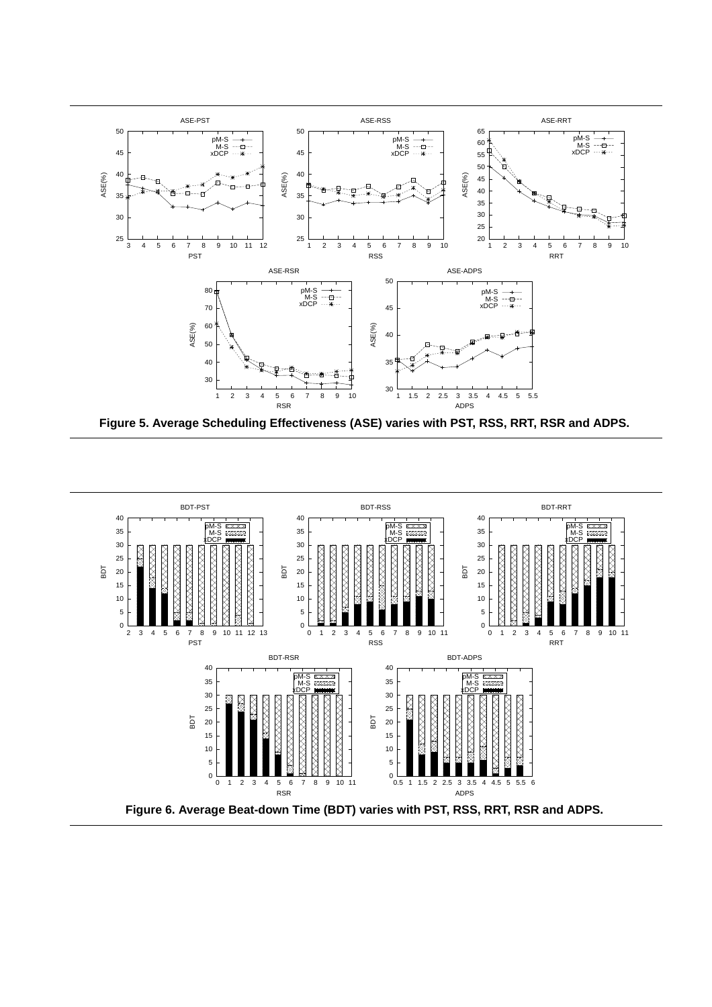